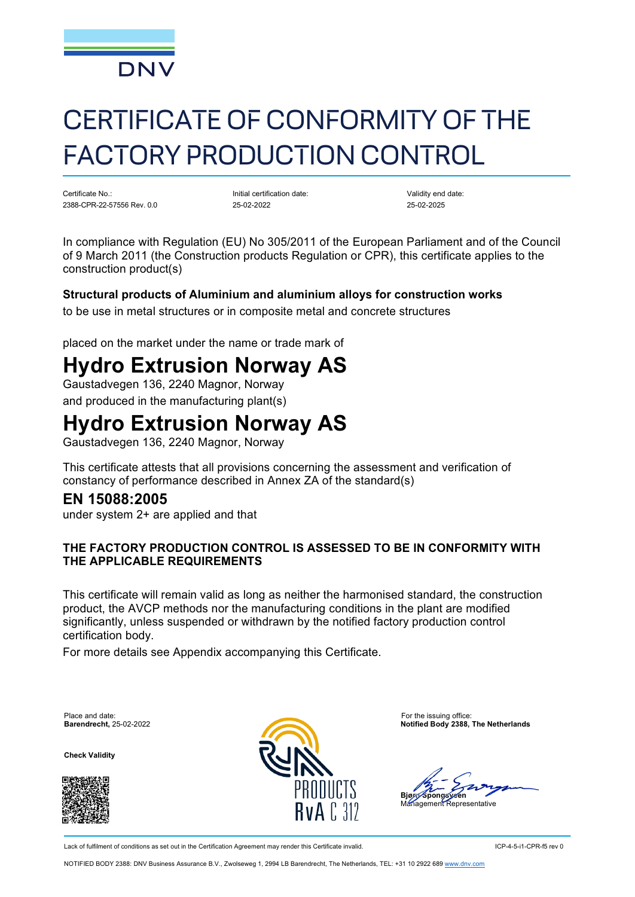

# CERTIFICATE OF CONFORMITY OF THE FACTORY PRODUCTION CONTROL

Certificate No.: 2388-CPR-22-57556 Rev. 0.0 Initial certification date: 25-02-2022

Validity end date: 25-02-2025

In compliance with Regulation (EU) No 305/2011 of the European Parliament and of the Council of 9 March 2011 (the Construction products Regulation or CPR), this certificate applies to the construction product(s)

#### **Structural products of Aluminium and aluminium alloys for construction works**

to be use in metal structures or in composite metal and concrete structures

placed on the market under the name or trade mark of

# **Hydro Extrusion Norway AS**

Gaustadvegen 136, 2240 Magnor, Norway and produced in the manufacturing plant(s)

## **Hydro Extrusion Norway AS**

Gaustadvegen 136, 2240 Magnor, Norway

This certificate attests that all provisions concerning the assessment and verification of constancy of performance described in Annex ZA of the standard(s)

### **EN 15088:2005**

under system 2+ are applied and that

#### **THE FACTORY PRODUCTION CONTROL IS ASSESSED TO BE IN CONFORMITY WITH THE APPLICABLE REQUIREMENTS**

This certificate will remain valid as long as neither the harmonised standard, the construction product, the AVCP methods nor the manufacturing conditions in the plant are modified significantly, unless suspended or withdrawn by the notified factory production control certification body.

For more details see Appendix accompanying this Certificate.

Place and date: For the issuing office:<br> **Barendrecht**, 25-02-2022<br> **Barendrecht**, 25-02-2022

**Check Validity**





**Barendrecht,** 25-02-2022 **Notified Body 2388, The Netherlands**

Bjørr/Spong*sye*en

Management Representative

Lack of fulfilment of conditions as set out in the Certification Agreement may render this Certificate invalid. ICP-4-5-i1-CPR-f5 rev 0

NOTIFIED BODY 2388: DNV Business Assurance B.V., Zwolseweg 1, 2994 LB Barendrecht, The Netherlands, TEL: +31 10 2922 689 [www.dnv.com](http://www.dnv.com/)